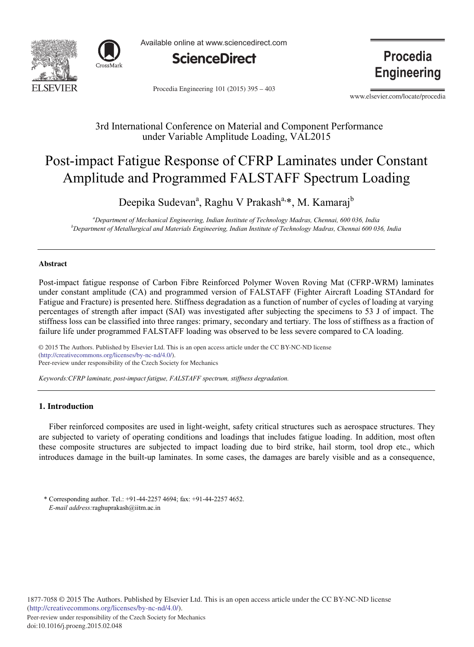



Available online at www.sciencedirect.com



Procedia Engineering 101 (2015) 395 - 403

**Procedia Engineering** 

www.elsevier.com/locate/procedia

# 3rd International Conference on Material and Component Performance under Variable Amplitude Loading, VAL2015

# Post-impact Fatigue Response of CFRP Laminates under Constant Amplitude and Programmed FALSTAFF Spectrum Loading

Deepika Sudevan<sup>a</sup>, Raghu V Prakash<sup>a,\*</sup>, M. Kamaraj<sup>b</sup>

*a Department of Mechanical Engineering, Indian Institute of Technology Madras, Chennai, 600 036, India b Department of Metallurgical and Materials Engineering, Indian Institute of Technology Madras, Chennai 600 036, India* 

## **Abstract**

Post-impact fatigue response of Carbon Fibre Reinforced Polymer Woven Roving Mat (CFRP-WRM) laminates under constant amplitude (CA) and programmed version of FALSTAFF (Fighter Aircraft Loading STAndard for Fatigue and Fracture) is presented here. Stiffness degradation as a function of number of cycles of loading at varying percentages of strength after impact (SAI) was investigated after subjecting the specimens to 53 J of impact. The stiffness loss can be classified into three ranges: primary, secondary and tertiary. The loss of stiffness as a fraction of failure life under programmed FALSTAFF loading was observed to be less severe compared to CA loading.

 $\odot$  2015 The Authors. Published by Elsevier Ltd. This is an open access article under the CC BY-NC-ND license Peer-review under responsibility of the Czech Society for Mechanics. Peer-review under responsibility of the Czech Society for Mechanics(http://creativecommons.org/licenses/by-nc-nd/4.0/).

*Keywords:CFRP laminate, post-impact fatigue, FALSTAFF spectrum, stiffness degradation.*

### **1. Introduction**

Fiber reinforced composites are used in light-weight, safety critical structures such as aerospace structures. They are subjected to variety of operating conditions and loadings that includes fatigue loading. In addition, most often these composite structures are subjected to impact loading due to bird strike, hail storm, tool drop etc., which introduces damage in the built-up laminates. In some cases, the damages are barely visible and as a consequence,

\* Corresponding author. Tel.: +91-44-2257 4694; fax: +91-44-2257 4652. *E-mail address:*raghuprakash@iitm.ac.in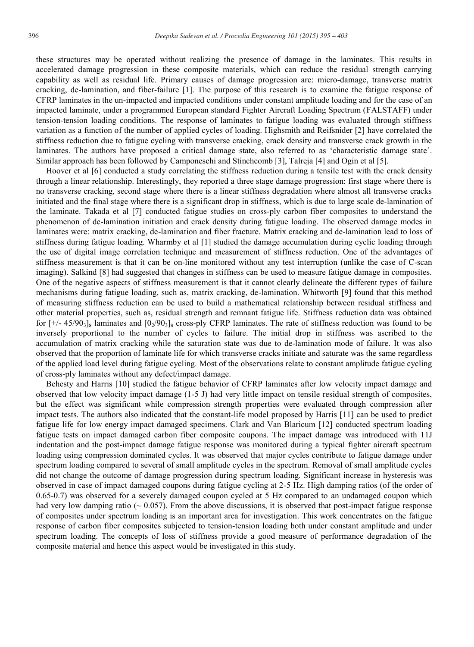these structures may be operated without realizing the presence of damage in the laminates. This results in accelerated damage progression in these composite materials, which can reduce the residual strength carrying capability as well as residual life. Primary causes of damage progression are: micro-damage, transverse matrix cracking, de-lamination, and fiber-failure [1]. The purpose of this research is to examine the fatigue response of CFRP laminates in the un-impacted and impacted conditions under constant amplitude loading and for the case of an impacted laminate, under a programmed European standard Fighter Aircraft Loading Spectrum (FALSTAFF) under tension-tension loading conditions. The response of laminates to fatigue loading was evaluated through stiffness variation as a function of the number of applied cycles of loading. Highsmith and Reifsnider [2] have correlated the stiffness reduction due to fatigue cycling with transverse cracking, crack density and transverse crack growth in the laminates. The authors have proposed a critical damage state, also referred to as 'characteristic damage state'. Similar approach has been followed by Camponeschi and Stinchcomb [3], Talreja [4] and Ogin et al [5].

Hoover et al [6] conducted a study correlating the stiffness reduction during a tensile test with the crack density through a linear relationship. Interestingly, they reported a three stage damage progression: first stage where there is no transverse cracking, second stage where there is a linear stiffness degradation where almost all transverse cracks initiated and the final stage where there is a significant drop in stiffness, which is due to large scale de-lamination of the laminate. Takada et al [7] conducted fatigue studies on cross-ply carbon fiber composites to understand the phenomenon of de-lamination initiation and crack density during fatigue loading. The observed damage modes in laminates were: matrix cracking, de-lamination and fiber fracture. Matrix cracking and de-lamination lead to loss of stiffness during fatigue loading. Wharmby et al [1] studied the damage accumulation during cyclic loading through the use of digital image correlation technique and measurement of stiffness reduction. One of the advantages of stiffness measurement is that it can be on-line monitored without any test interruption (unlike the case of C-scan imaging). Salkind [8] had suggested that changes in stiffness can be used to measure fatigue damage in composites. One of the negative aspects of stiffness measurement is that it cannot clearly delineate the different types of failure mechanisms during fatigue loading, such as, matrix cracking, de-lamination. Whitworth [9] found that this method of measuring stiffness reduction can be used to build a mathematical relationship between residual stiffness and other material properties, such as, residual strength and remnant fatigue life. Stiffness reduction data was obtained for  $\left[\frac{+}{-45/90} \right]$ <sub>s</sub> laminates and  $\left[\frac{0}{2} \right]$ <sub>s</sub> cross-ply CFRP laminates. The rate of stiffness reduction was found to be inversely proportional to the number of cycles to failure. The initial drop in stiffness was ascribed to the accumulation of matrix cracking while the saturation state was due to de-lamination mode of failure. It was also observed that the proportion of laminate life for which transverse cracks initiate and saturate was the same regardless of the applied load level during fatigue cycling. Most of the observations relate to constant amplitude fatigue cycling of cross-ply laminates without any defect/impact damage.

Behesty and Harris [10] studied the fatigue behavior of CFRP laminates after low velocity impact damage and observed that low velocity impact damage (1-5 J) had very little impact on tensile residual strength of composites, but the effect was significant while compression strength properties were evaluated through compression after impact tests. The authors also indicated that the constant-life model proposed by Harris [11] can be used to predict fatigue life for low energy impact damaged specimens. Clark and Van Blaricum [12] conducted spectrum loading fatigue tests on impact damaged carbon fiber composite coupons. The impact damage was introduced with 11J indentation and the post-impact damage fatigue response was monitored during a typical fighter aircraft spectrum loading using compression dominated cycles. It was observed that major cycles contribute to fatigue damage under spectrum loading compared to several of small amplitude cycles in the spectrum. Removal of small amplitude cycles did not change the outcome of damage progression during spectrum loading. Significant increase in hysteresis was observed in case of impact damaged coupons during fatigue cycling at 2-5 Hz. High damping ratios (of the order of 0.65-0.7) was observed for a severely damaged coupon cycled at 5 Hz compared to an undamaged coupon which had very low damping ratio ( $\sim 0.057$ ). From the above discussions, it is observed that post-impact fatigue response of composites under spectrum loading is an important area for investigation. This work concentrates on the fatigue response of carbon fiber composites subjected to tension-tension loading both under constant amplitude and under spectrum loading. The concepts of loss of stiffness provide a good measure of performance degradation of the composite material and hence this aspect would be investigated in this study.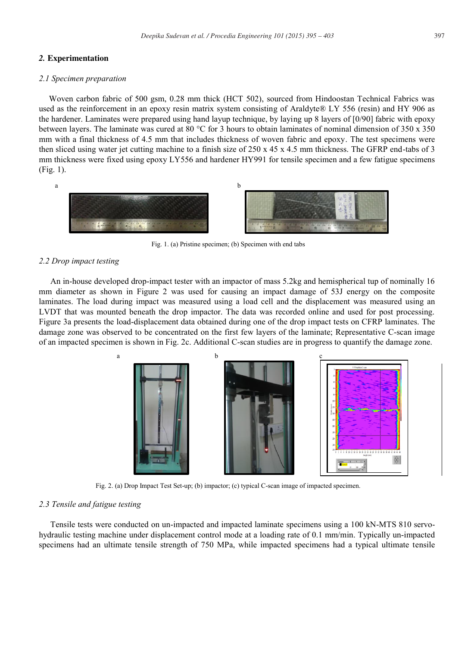#### *2.* **Experimentation**

#### *2.1 Specimen preparation*

Woven carbon fabric of 500 gsm, 0.28 mm thick (HCT 502), sourced from Hindoostan Technical Fabrics was used as the reinforcement in an epoxy resin matrix system consisting of Araldyte® LY 556 (resin) and HY 906 as the hardener. Laminates were prepared using hand layup technique, by laying up 8 layers of [0/90] fabric with epoxy between layers. The laminate was cured at 80 °C for 3 hours to obtain laminates of nominal dimension of 350 x 350 mm with a final thickness of 4.5 mm that includes thickness of woven fabric and epoxy. The test specimens were then sliced using water jet cutting machine to a finish size of 250 x 45 x 4.5 mm thickness. The GFRP end-tabs of 3 mm thickness were fixed using epoxy LY556 and hardener HY991 for tensile specimen and a few fatigue specimens (Fig. 1).



Fig. 1. (a) Pristine specimen; (b) Specimen with end tabs

#### *2.2 Drop impact testing*

An in-house developed drop-impact tester with an impactor of mass 5.2kg and hemispherical tup of nominally 16 mm diameter as shown in Figure 2 was used for causing an impact damage of 53J energy on the composite laminates. The load during impact was measured using a load cell and the displacement was measured using an LVDT that was mounted beneath the drop impactor. The data was recorded online and used for post processing. Figure 3a presents the load-displacement data obtained during one of the drop impact tests on CFRP laminates. The damage zone was observed to be concentrated on the first few layers of the laminate; Representative C-scan image of an impacted specimen is shown in Fig. 2c. Additional C-scan studies are in progress to quantify the damage zone.



Fig. 2. (a) Drop Impact Test Set-up; (b) impactor; (c) typical C-scan image of impacted specimen.

#### *2.3 Tensile and fatigue testing*

Tensile tests were conducted on un-impacted and impacted laminate specimens using a 100 kN-MTS 810 servohydraulic testing machine under displacement control mode at a loading rate of 0.1 mm/min. Typically un-impacted specimens had an ultimate tensile strength of 750 MPa, while impacted specimens had a typical ultimate tensile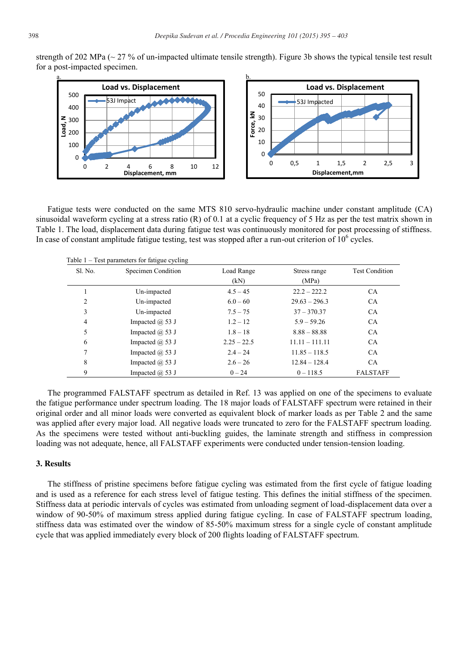strength of 202 MPa  $\left(\sim$  27 % of un-impacted ultimate tensile strength). Figure 3b shows the typical tensile test result for a post-impacted specimen.



Fatigue tests were conducted on the same MTS 810 servo-hydraulic machine under constant amplitude (CA) sinusoidal waveform cycling at a stress ratio (R) of 0.1 at a cyclic frequency of 5 Hz as per the test matrix shown in Table 1. The load, displacement data during fatigue test was continuously monitored for post processing of stiffness. In case of constant amplitude fatigue testing, test was stopped after a run-out criterion of  $10^6$  cycles.

| Table $1 - Test$ parameters for fatigue cycling |                     |               |                  |                       |
|-------------------------------------------------|---------------------|---------------|------------------|-----------------------|
| Sl. No.                                         | Specimen Condition  | Load Range    | Stress range     | <b>Test Condition</b> |
|                                                 |                     | (kN)          | (MPa)            |                       |
|                                                 | Un-impacted         | $4.5 - 45$    | $22.2 - 222.2$   | <b>CA</b>             |
| $\overline{c}$                                  | Un-impacted         | $6.0 - 60$    | $29.63 - 296.3$  | <b>CA</b>             |
| 3                                               | Un-impacted         | $7.5 - 75$    | $37 - 370.37$    | <b>CA</b>             |
| 4                                               | Impacted $(a)$ 53 J | $1.2 - 12$    | $5.9 - 59.26$    | <b>CA</b>             |
| 5                                               | Impacted $(a)$ 53 J | $1.8 - 18$    | $8.88 - 88.88$   | <b>CA</b>             |
| 6                                               | Impacted $(a)$ 53 J | $2.25 - 22.5$ | $11.11 - 111.11$ | <b>CA</b>             |
| 7                                               | Impacted $(a)$ 53 J | $2.4 - 24$    | $11.85 - 118.5$  | <b>CA</b>             |
| 8                                               | Impacted $(a)$ 53 J | $2.6 - 26$    | $12.84 - 128.4$  | <b>CA</b>             |
| 9                                               | Impacted $(a)$ 53 J | $0 - 24$      | $0 - 118.5$      | <b>FALSTAFF</b>       |

The programmed FALSTAFF spectrum as detailed in Ref. 13 was applied on one of the specimens to evaluate the fatigue performance under spectrum loading. The 18 major loads of FALSTAFF spectrum were retained in their original order and all minor loads were converted as equivalent block of marker loads as per Table 2 and the same was applied after every major load. All negative loads were truncated to zero for the FALSTAFF spectrum loading. As the specimens were tested without anti-buckling guides, the laminate strength and stiffness in compression loading was not adequate, hence, all FALSTAFF experiments were conducted under tension-tension loading.

#### **3. Results**

The stiffness of pristine specimens before fatigue cycling was estimated from the first cycle of fatigue loading and is used as a reference for each stress level of fatigue testing. This defines the initial stiffness of the specimen. Stiffness data at periodic intervals of cycles was estimated from unloading segment of load-displacement data over a window of 90-50% of maximum stress applied during fatigue cycling. In case of FALSTAFF spectrum loading, stiffness data was estimated over the window of 85-50% maximum stress for a single cycle of constant amplitude cycle that was applied immediately every block of 200 flights loading of FALSTAFF spectrum.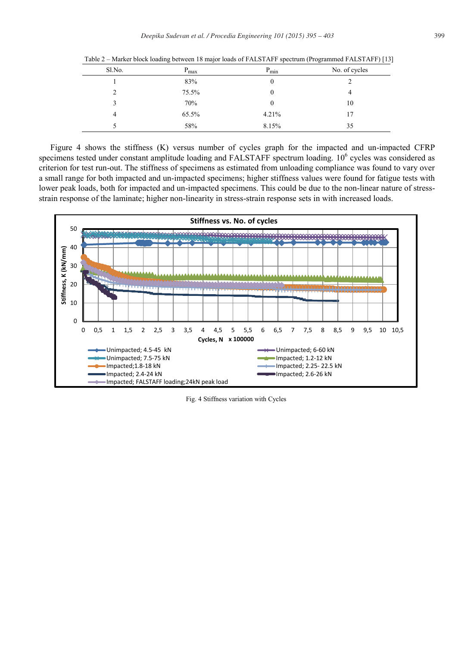|        | -                | . .          | .             |
|--------|------------------|--------------|---------------|
| Sl.No. | $P_{\text{max}}$ | $P_{min}$    | No. of cycles |
|        | 83%              | $\mathbf{0}$ | ∸             |
| 2      | 75.5%            | 0            | 4             |
|        | 70%              | 0            | 10            |
| 4      | 65.5%            | 4.21%        | 17            |
|        | 58%              | 8.15%        | 35            |

Table 2 – Marker block loading between 18 major loads of FALSTAFF spectrum (Programmed FALSTAFF) [13]

Figure 4 shows the stiffness (K) versus number of cycles graph for the impacted and un-impacted CFRP specimens tested under constant amplitude loading and FALSTAFF spectrum loading. 10<sup>6</sup> cycles was considered as criterion for test run-out. The stiffness of specimens as estimated from unloading compliance was found to vary over a small range for both impacted and un-impacted specimens; higher stiffness values were found for fatigue tests with lower peak loads, both for impacted and un-impacted specimens. This could be due to the non-linear nature of stressstrain response of the laminate; higher non-linearity in stress-strain response sets in with increased loads.



Fig. 4 Stiffness variation with Cycles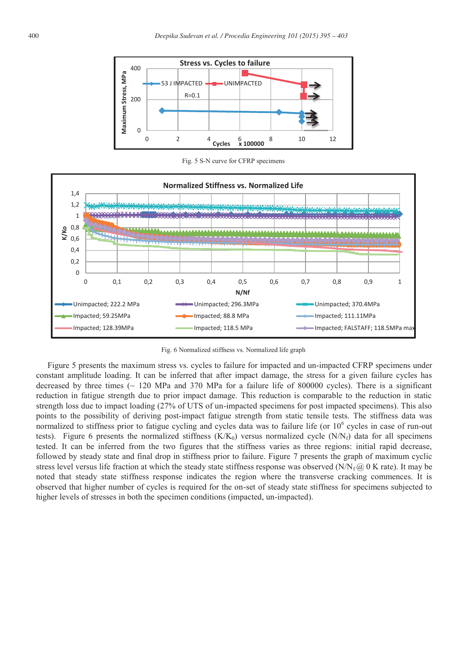

Fig. 5 S-N curve for CFRP specimens



Fig. 6 Normalized stiffness vs. Normalized life graph

Figure 5 presents the maximum stress vs. cycles to failure for impacted and un-impacted CFRP specimens under constant amplitude loading. It can be inferred that after impact damage, the stress for a given failure cycles has decreased by three times (~ 120 MPa and 370 MPa for a failure life of 800000 cycles). There is a significant reduction in fatigue strength due to prior impact damage. This reduction is comparable to the reduction in static strength loss due to impact loading (27% of UTS of un-impacted specimens for post impacted specimens). This also points to the possibility of deriving post-impact fatigue strength from static tensile tests. The stiffness data was normalized to stiffness prior to fatigue cycling and cycles data was to failure life (or  $10<sup>6</sup>$  cycles in case of run-out tests). Figure 6 presents the normalized stiffness  $(K/K_0)$  versus normalized cycle  $(N/N_f)$  data for all specimens tested. It can be inferred from the two figures that the stiffness varies as three regions: initial rapid decrease, followed by steady state and final drop in stiffness prior to failure. Figure 7 presents the graph of maximum cyclic stress level versus life fraction at which the steady state stiffness response was observed  $(N/N_f \omega)$  K rate). It may be noted that steady state stiffness response indicates the region where the transverse cracking commences. It is observed that higher number of cycles is required for the on-set of steady state stiffness for specimens subjected to higher levels of stresses in both the specimen conditions (impacted, un-impacted).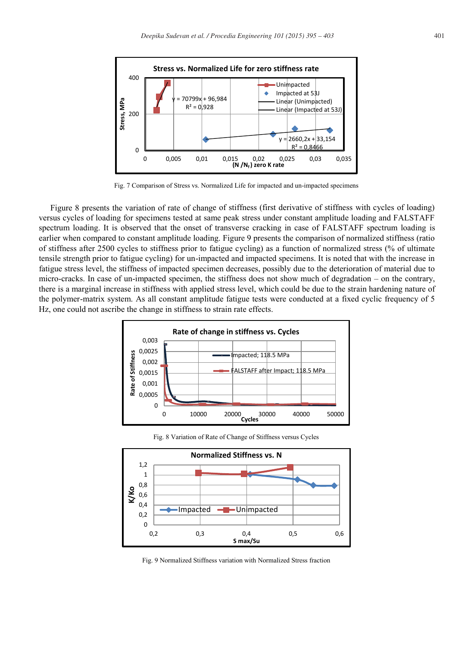

Fig. 7 Comparison of Stress vs. Normalized Life for impacted and un-impacted specimens

Figure 8 presents the variation of rate of change of stiffness (first derivative of stiffness with cycles of loading) versus cycles of loading for specimens tested at same peak stress under constant amplitude loading and FALSTAFF spectrum loading. It is observed that the onset of transverse cracking in case of FALSTAFF spectrum loading is earlier when compared to constant amplitude loading. Figure 9 presents the comparison of normalized stiffness (ratio of stiffness after 2500 cycles to stiffness prior to fatigue cycling) as a function of normalized stress (% of ultimate tensile strength prior to fatigue cycling) for un-impacted and impacted specimens. It is noted that with the increase in fatigue stress level, the stiffness of impacted specimen decreases, possibly due to the deterioration of material due to micro-cracks. In case of un-impacted specimen, the stiffness does not show much of degradation – on the contrary, there is a marginal increase in stiffness with applied stress level, which could be due to the strain hardening nature of the polymer-matrix system. As all constant amplitude fatigue tests were conducted at a fixed cyclic frequency of 5 Hz, one could not ascribe the change in stiffness to strain rate effects.



Fig. 8 Variation of Rate of Change of Stiffness versus Cycles



Fig. 9 Normalized Stiffness variation with Normalized Stress fraction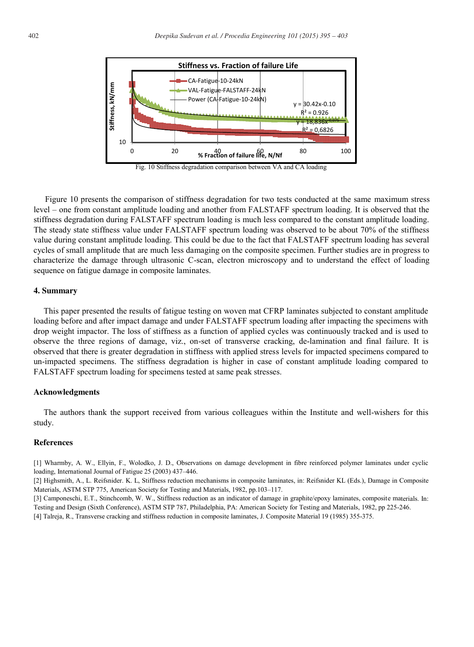

Fig. 10 Stiffness degradation comparison between VA and CA loading

Figure 10 presents the comparison of stiffness degradation for two tests conducted at the same maximum stress level – one from constant amplitude loading and another from FALSTAFF spectrum loading. It is observed that the stiffness degradation during FALSTAFF spectrum loading is much less compared to the constant amplitude loading. The steady state stiffness value under FALSTAFF spectrum loading was observed to be about 70% of the stiffness value during constant amplitude loading. This could be due to the fact that FALSTAFF spectrum loading has several cycles of small amplitude that are much less damaging on the composite specimen. Further studies are in progress to characterize the damage through ultrasonic C-scan, electron microscopy and to understand the effect of loading sequence on fatigue damage in composite laminates.

#### **4. Summary**

This paper presented the results of fatigue testing on woven mat CFRP laminates subjected to constant amplitude loading before and after impact damage and under FALSTAFF spectrum loading after impacting the specimens with drop weight impactor. The loss of stiffness as a function of applied cycles was continuously tracked and is used to observe the three regions of damage, viz., on-set of transverse cracking, de-lamination and final failure. It is observed that there is greater degradation in stiffness with applied stress levels for impacted specimens compared to un-impacted specimens. The stiffness degradation is higher in case of constant amplitude loading compared to FALSTAFF spectrum loading for specimens tested at same peak stresses.

#### **Acknowledgments**

The authors thank the support received from various colleagues within the Institute and well-wishers for this study.

#### **References**

[1] Wharmby, A. W., Ellyin, F., Wolodko, J. D., Observations on damage development in fibre reinforced polymer laminates under cyclic loading, International Journal of Fatigue 25 (2003) 437–446.

[2] Highsmith, A., L. Reifsnider. K. L, Stiffness reduction mechanisms in composite laminates, in: Reifsnider KL (Eds.), Damage in Composite Materials, ASTM STP 775, American Society for Testing and Materials, 1982, pp.103–117.

[3] Camponeschi, E.T., Stinchcomb, W. W., Stiffness reduction as an indicator of damage in graphite/epoxy laminates, composite materials. In: Testing and Design (Sixth Conference), ASTM STP 787, Philadelphia, PA: American Society for Testing and Materials, 1982, pp 225-246.

[4] Talreja, R., Transverse cracking and stiffness reduction in composite laminates, J. Composite Material 19 (1985) 355-375.